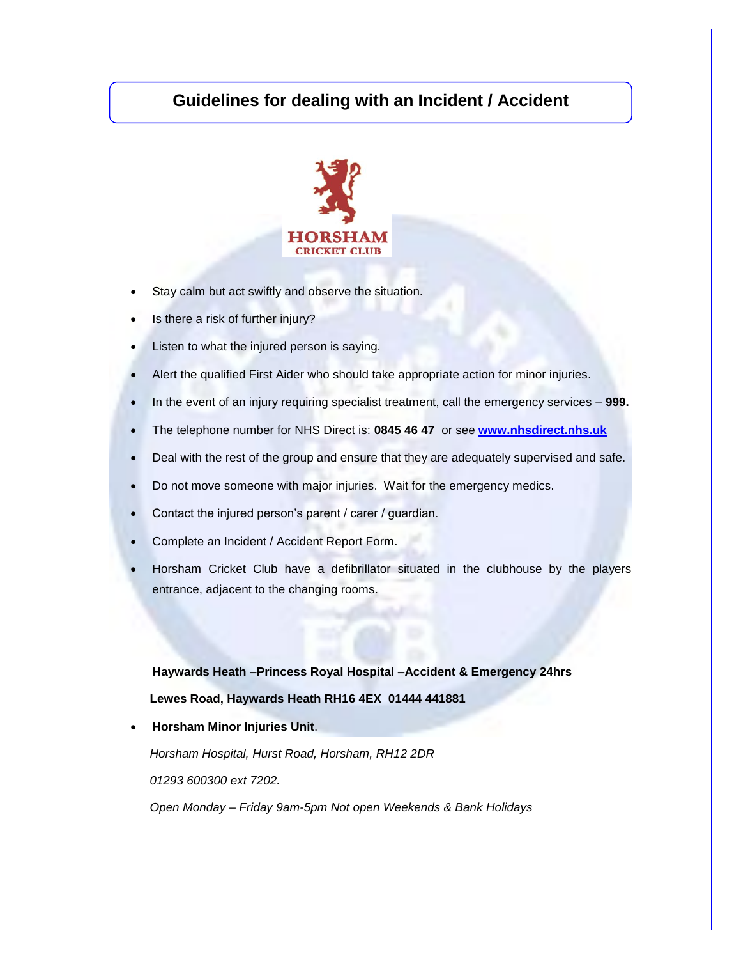## **Guidelines for dealing with an Incident / Accident**



- Stay calm but act swiftly and observe the situation.
- Is there a risk of further injury?
- Listen to what the injured person is saying.
- Alert the qualified First Aider who should take appropriate action for minor injuries.
- In the event of an injury requiring specialist treatment, call the emergency services **999.**
- The telephone number for NHS Direct is: **0845 46 47** or see **[www.nhsdirect.nhs.uk](http://www.nhsdirect.nhs.uk/)**
- Deal with the rest of the group and ensure that they are adequately supervised and safe.
- Do not move someone with major injuries. Wait for the emergency medics.
- Contact the injured person's parent / carer / guardian.
- Complete an Incident / Accident Report Form.
- Horsham Cricket Club have a defibrillator situated in the clubhouse by the players entrance, adjacent to the changing rooms.

 **Haywards Heath –Princess Royal Hospital –Accident & Emergency 24hrs Lewes Road, Haywards Heath RH16 4EX 01444 441881**

**Horsham Minor Injuries Unit**.

*Horsham Hospital, Hurst Road, Horsham, RH12 2DR*

*01293 600300 ext 7202.*

*Open Monday – Friday 9am-5pm Not open Weekends & Bank Holidays*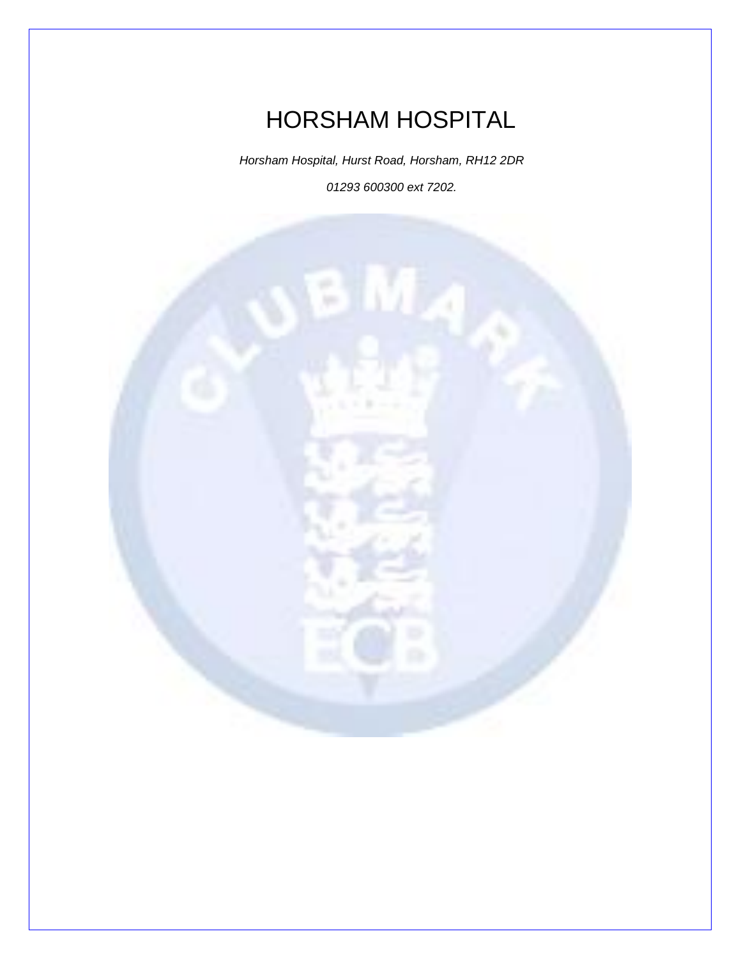HORSHAM HOSPITAL

*Horsham Hospital, Hurst Road, Horsham, RH12 2DR 01293 600300 ext 7202.*